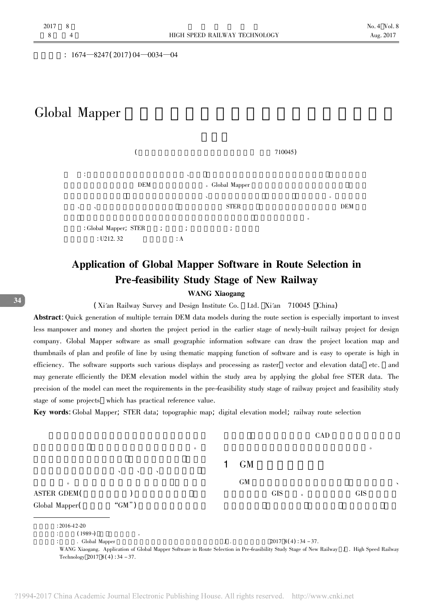$: 1674 - 8247(2017)04 - 0034 - 04$ 

# Global Mapper



## Application of Global Mapper Software in Route Selection in **Pre-feasibility Study Stage of New Railway**

## **WANG Xiaogang**

(Xi'an Railway Survey and Design Institute Co. Ltd. Xi'an 710045 China)

Abstract: Quick generation of multiple terrain DEM data models during the route section is especially important to invest less manpower and money and shorten the project period in the earlier stage of newly-built railway project for design company. Global Mapper software as small geographic information software can draw the project location map and thumbnails of plan and profile of line by using thematic mapping function of software and is easy to operate is high in efficiency. The software supports such various displays and processing as raster vector and elevation data etc. and may generate efficiently the DEM elevation model within the study area by applying the global free STER data. The precision of the model can meet the requirements in the pre-feasibility study stage of railway project and feasibility study stage of some projects which has practical reference value.

Key words: Global Mapper; STER data; topographic map; digital elevation model; railway route selection



34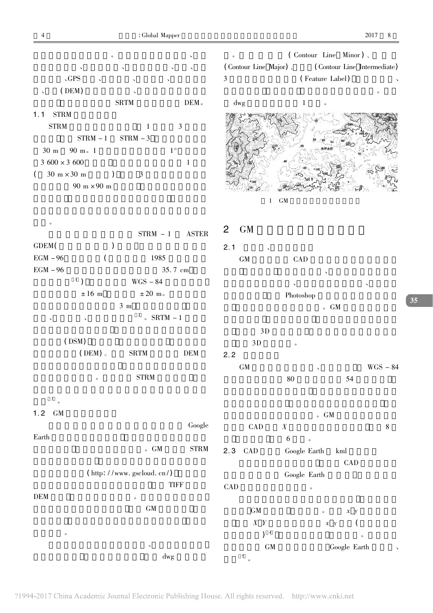$\overline{4}$ 

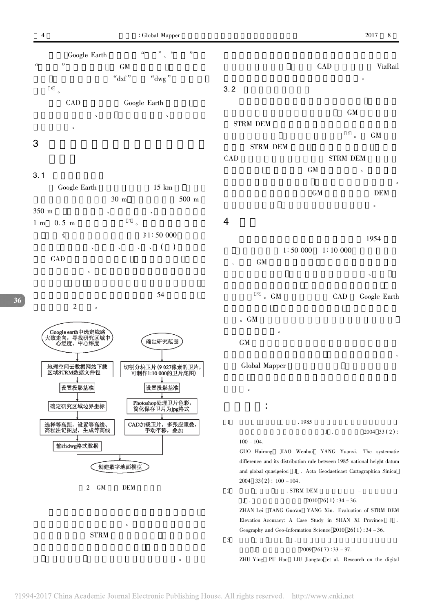

### $3.1$ Google Earth  $15 \; \mathrm{km}$  $30<sub>m</sub>$ 500 m 350 m  $\boldsymbol{7}$  $1 \text{ m}$  $0.5<sub>m</sub>$  $\overline{a}$  $\langle\!\langle$  $21:50000$  $($   $)$  $\ddot{\phantom{0}}$  $\ddot{\phantom{0}}$ CAD

54  $\overline{2}$ ╱Google earth中选定线路<br>大致走向,寻找研究区域中<br>\ 心经度、中心纬度 确定研究范围 地理空间云数据网站下载<br>区域STRM数据文件包 切割分块卫片(9027像素的卫片,<br>可制作1:10 000的卫片底图) 设置投影基准 设置投影基准 Photoshop处理卫片色彩,<br>简化保存卫片为jpg格式 确定研究区域边界坐标 CAD加载卫片,多张应重叠,<br>手动平移,叠加 选择等高距,设置等高线、<br>高程注记图层,生成等高线 输出dwg格式数据 创建数字地面模型

 $2$  GM **DEM** 



|                                            | CAD                                                                                                                                                                                                    |                                 | VizRail<br>$\circ$                           |  |  |
|--------------------------------------------|--------------------------------------------------------------------------------------------------------------------------------------------------------------------------------------------------------|---------------------------------|----------------------------------------------|--|--|
| 3.2                                        |                                                                                                                                                                                                        |                                 |                                              |  |  |
| <b>STRM DEM</b>                            | <b>GM</b>                                                                                                                                                                                              |                                 |                                              |  |  |
| STRM DEM<br>CAD                            |                                                                                                                                                                                                        | 8<br>$\circ$<br><b>STRM DEM</b> | <b>GM</b>                                    |  |  |
|                                            | <b>GM</b>                                                                                                                                                                                              |                                 | $\circ$                                      |  |  |
|                                            | <b>GM</b>                                                                                                                                                                                              |                                 | $\circ$<br><b>DEM</b><br>$\circ$             |  |  |
| 4                                          |                                                                                                                                                                                                        |                                 |                                              |  |  |
| GM<br>$\circ$                              |                                                                                                                                                                                                        | $1:50000$ $1:10000$             | 1954                                         |  |  |
| $9^9$ . GM                                 |                                                                                                                                                                                                        | CAD                             | Google Earth                                 |  |  |
| $\circ$ GM<br>$\circ$<br><b>GM</b>         |                                                                                                                                                                                                        |                                 |                                              |  |  |
| Global Mapper                              |                                                                                                                                                                                                        |                                 | $\circ$                                      |  |  |
| $\circ$                                    |                                                                                                                                                                                                        |                                 |                                              |  |  |
| 1                                          | .1985                                                                                                                                                                                                  |                                 |                                              |  |  |
|                                            |                                                                                                                                                                                                        | $J$ .                           | 2004 33 (2):                                 |  |  |
| GUO Hairong<br>$2004$ 33(2): $100 - 104$ . | $100 - 104$ .<br>JIAO Wenhai YANG Yuanxi. The systematic<br>difference and its distribution rule between 1985 national height datum<br>and global quasigeiod J. Acta Geodaeticaet Cartographica Sinica |                                 |                                              |  |  |
| 2<br>. STRM DEM<br>J.                      |                                                                                                                                                                                                        | $2010 \ 26(1):34-36.$           |                                              |  |  |
| ZHAN Lei                                   |                                                                                                                                                                                                        |                                 | TANG Guo'an YANG Xin. Evaluation of STRM DEM |  |  |

Elevation Accuracy: A Case Study in SHAN XI Province J . Geography and Geo-Information Science  $2010\ 26(1)$ : 34 - 36.

 ${\bf J}$  .  $2009 \; 26(7) \; 33 - 37.$ 

ZHU Ying PU Hao LIU Jiangtao et al. Research on the digital

 $\overline{3}$